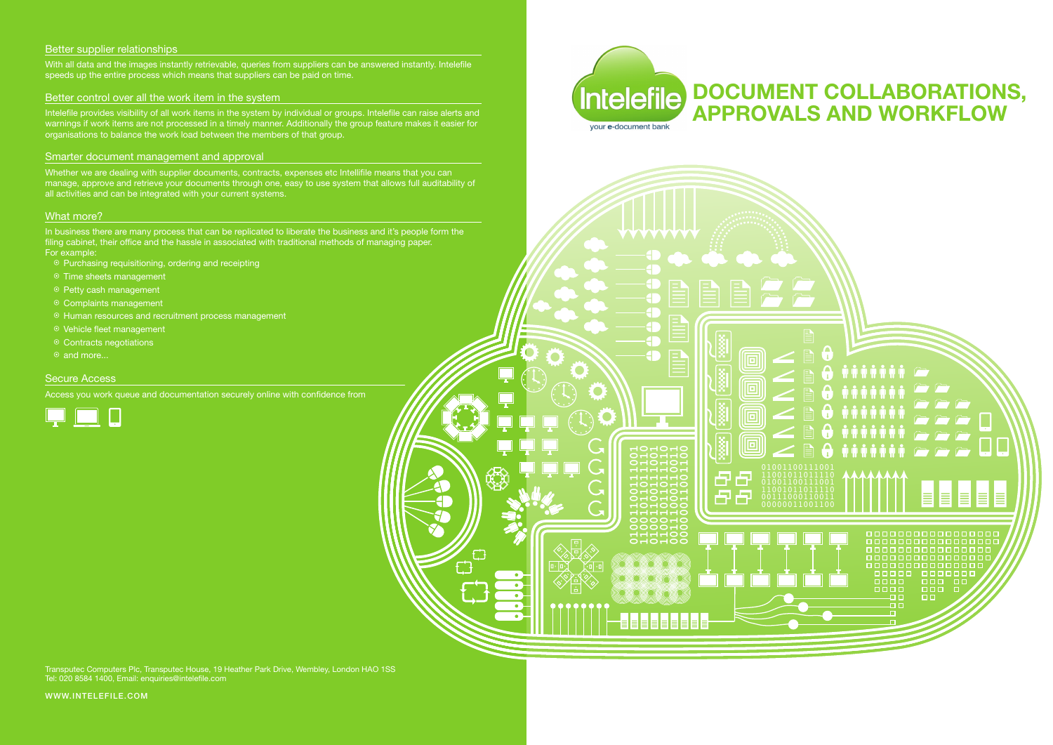#### Better supplier relationships

With all data and the images instantly retrievable, queries from suppliers can be answered instantly. Intelefile speeds up the entire process which means that suppliers can be paid on time.

#### Better control over all the work item in the system

Intelefile provides visibility of all work items in the system by individual or groups. Intelefile can raise alerts and warnings if work items are not processed in a timely manner. Additionally the group feature makes it easier for organisations to balance the work load between the members of that group.

In business there are many process that can be replicated to liberate the business and it's people form the filing cabinet, their office and the hassle in associated with traditional methods of managing paper. For example:

- < Purchasing requisitioning, ordering and receipting
- Time sheets management
- ⊙ Petty cash management
- < Complaints management
- $\odot$  Human resources and recruitment process management
- $\odot$  Vehicle fleet management
- Contracts negotiations
- ⊙ and more...

#### Smarter document management and approval

Whether we are dealing with supplier documents, contracts, expenses etc Intellifile means that you can manage, approve and retrieve your documents through one, easy to use system that allows full auditability of all activities and can be integrated with your current systems.

#### What more?

Transputec Computers Plc, Transputec House, 19 Heather Park Drive, Wembley, London HAO 1SS Tel: 020 8584 1400, Email: enquiries@intelefile.com

WWW.intelefile.COM

#### Secure Access

Access you work queue and documentation securely online with confidence from





# Document Collaborations, Approvals and Workflow



40 **AT** E

HOHOHO

回

 $\overline{\mathbf{E}}$ 

 $\overline{\blacksquare}$ 

回

l Th

8 臣